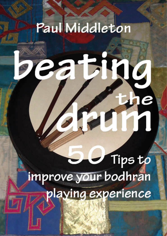# Paul Middleton

 $\cdot$ Fa

F

# Tips to improve your bodhran playing experience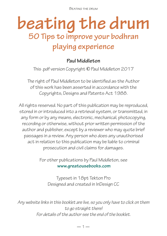Beating the drum

# **beating the drum 50 Tips to improve your bodhran playing experience**

### **Paul Middleton**

This .pdf version Copyright **©** Paul Middleton 2017

The right of Paul Middleton to be identified as the Author of this work has been asserted in accordance with the Copyrights, Designs and Patents Act 1988.

All rights reserved. No part of this publication may be reproduced, stored in or introduced into a retrieval system, or transmitted, in any form or by any means, electronic, mechanical, photocopying, recording or otherwise, without prior written permission of the author and publisher, except by a reviewer who may quote brief passages in a review. Any person who does any unauthorised act in relation to this publication may be liable to criminal prosecution and civil claims for damages.

> For other publications by Paul Middleton, see  **www.greatousebooks.com**

Typeset in 18pt Tekton Pro Designed and created in InDesign CC

*Any website links in this booklet are live, so you only have to click on them to go straight there! For details of the author see the end of the booklet.*

 $-1-$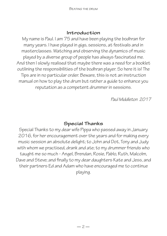#### **Introduction**

My name is Paul. I am 75 and have been playing the bodhran for many years. I have played in gigs, sessions, at festivals and in masterclasses. Watching and observing the dynamics of music played by a diverse group of people has always fascinated me. And then I slowly realised that maybe there was a need for a booklet outlining the responsibilities of the bodhran player. So here it is! The Tips are in no particular order. Beware, this is not an instruction manual on how to play the drum but rather a guide to enhance you reputation as a competent drummer in sessions.

*Paul Middleton 2017*

### **Special Thanks**

Special Thanks to my dear wife Pippa who passed away in January 2016, for her encouragement over the years and for making every music session an absolute delight; to John and Dot, Tony and Judy with whom we practised, drank and ate; to my drummer friends who taught me so much - Angel, Brendan, Rosie, Pablo, Ruth, Malcolm, Dave and Steve; and finally to my dear daughters Kate and Jess, and their partners Ed and Adam who have encouraged me to continue playing.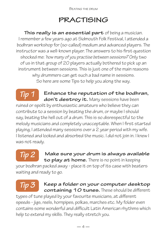### **PRACTISING**

**This really is an essential part** of being a musician. I remember a few years ago at Sidmouth Folk Festival, I attended a bodhran workshop for (so-called) medium and advanced players. The instructor was a well-known player. The answers to his first question shocked me: *'how many of you practise between sessions?'* Only two of us in that group of 20 players actually bothered to pick up an instrument between sessions. This is just one of the main reasons why drummers can get such a bad name in sessions. So here are some Tips to help you along the way.

### **Enhance the reputation of the bodhran,**  don't destroy it. Many sessions have been

ruined or spoilt by enthusiastic amateurs who believe they can contribute to a session by beating the drum, or maybe I should say, beating the hell out of a drum. This is so disrespectful to the melody musicians and completely unacceptable. When I first started playing, I attended many sessions over a 2 year period with my wife. I listened and looked and absorbed the music. I did not join in. I knew I was not ready.

# *Tip 2*

*Tip 1*

**Make sure your drum is always available to play at home.** There is no point in keeping

your bodhran packed away - place it on top of its case with beaters waiting and ready to go.

# *Tip 3*

#### **Keep a folder on your computer desktop containing 10 tunes.** These should be different

types of tune played by your favourite musicians, at different speeds - jigs, reels, hornpipes, polkas, marches etc. My folder even contains some wonderful and difficult Latin American rhythms which help to extend my skills. They really stretch you.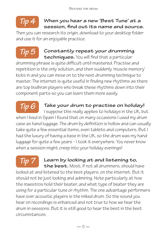#### **When you hear a new 'Best Tune' at a session, find out its name and source.** *Tip 4*

Then you can research its origin, download to your desktop folder and use it for an enjoyable practice.

### **Constantly repeat your drumming**

**techniques.** You will find that a particular drumming phrase is quite difficult until mastered. Practise and repetition is the only solution, and then suddenly 'muscle memory' kicks in and you can move on to the next drumming technique to master. The internet is quite useful in finding new rhythms as there are top bodhran players who break these rhythms down into their component parts so you can learn them more easily.

## *Tip 6*

*Tip 5*

### **Take your drum to practise on holiday!**

I suppose this really applies to holidays in the UK, but when I lived in Spain I found that on many occasions I used my drum case as hand luggage. The drum by definition is hollow and can usually take quite a few essential items, even tablets and computers. But I had the luxury of having a base in the UK, so the drum was my hand luggage for quite a few years - I took it everywhere. You never know when a session might creep into your holiday evenings!

# *Tip 7*

### **Learn by looking at and listening to, the best.** Most, if not all drummers, should have

looked at and listened to the best players, on the internet. But it should not be just looking and admiring. Note particularly at how the maestros hold their beater, and what type of beater they are using for a particular tune or rhythm. The one advantage performers have over acoustic players is the miked drum. So the sound you hear on recordings is enhanced and not true to how we hear the drum in sessions. But it is still good to hear the best in the best circumstances.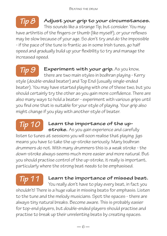### **Adjust your grip to your circumstances.**

This sounds like a strange Tip, but consider. You may have arthritis of the fingers or thumb (like myself), or your reflexes may be slow because of your age. So don't try and do the impossible - if the pace of the tune is frantic as in some Irish tunes, go half speed and gradually build up your flexibility to try and manage the increased speed.

#### **Experiment with your grip.** As you know,

there are two main styles in bodhran playing - Kerry style (double-ended beater) and Top End (usually single-ended beater). You may have started playing with one of these two, but you should certainly try the other as you gain more confidence. There are also many ways to hold a beater - experiment with various grips until you find one that is suitable for your style of playing. Your grip also might change if you play with another style of beater. *Tip 9*

### **Learn the importance of the up-**

**stroke.** As you gain experience and carefully listen to tunes at sessions you will soon realise that playing jigs means you have to take the up-stroke seriously. Many bodhran drummers do not. With many drummers this is a weak stroke - the down-stroke always seems much more easier and more natural. But you should practise control of the up-stroke, it really is important, particularly where the strong beat needs to be emphasised. *Tip 10*

### *Tip 11*

*Tip 8*

#### **Learn the importance of missed beat.**

You really don't have to play every beat, in fact you shouldn't! There is a huge value in missing beats for emphasis. Listen to the tune and the melody musicians. Spot the spaces - there are always tiny natural breaks. Become aware. This is probably easier for top-end players, but double-ended players should practise and practise to break up their unrelenting beats by creating spaces.